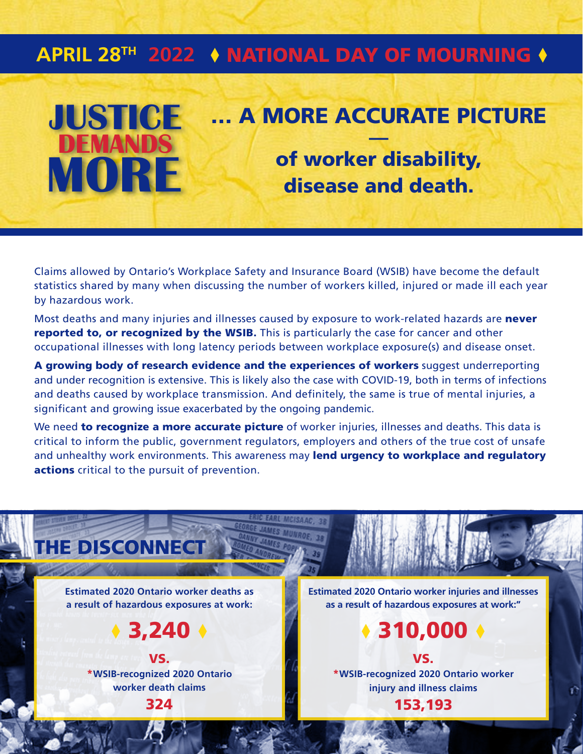## APRIL 28<sup>TH</sup> 2022 ♦ NATIONAL DAY OF MOURNING ♦

## **JUSTICE** … A MORE ACCURATE PICTURE **DEMANDS MORE** of worker disability, disease and death.

Claims allowed by Ontario's Workplace Safety and Insurance Board (WSIB) have become the default statistics shared by many when discussing the number of workers killed, injured or made ill each year by hazardous work.

Most deaths and many injuries and illnesses caused by exposure to work-related hazards are never reported to, or recognized by the WSIB. This is particularly the case for cancer and other occupational illnesses with long latency periods between workplace exposure(s) and disease onset.

A growing body of research evidence and the experiences of workers suggest underreporting and under recognition is extensive. This is likely also the case with COVID-19, both in terms of infections and deaths caused by workplace transmission. And definitely, the same is true of mental injuries, a significant and growing issue exacerbated by the ongoing pandemic.

We need to recognize a more accurate picture of worker injuries, illnesses and deaths. This data is critical to inform the public, government regulators, employers and others of the true cost of unsafe and unhealthy work environments. This awareness may lend urgency to workplace and regulatory actions critical to the pursuit of prevention.

Estimated 2020 Ontario worker deaths as a result of hazardous exposures at work:

**THE DISCONNECT** 

 $*3,240$ 

VS. \*WSIB-recognized 2020 Ontario worker death claims 324

Estimated 2020 Ontario worker injuries and illnesses as a result of hazardous exposures at work:"

 $*310,000$ 

VS. \*WSIB-recognized 2020 Ontario worker injury and illness claims 153,193